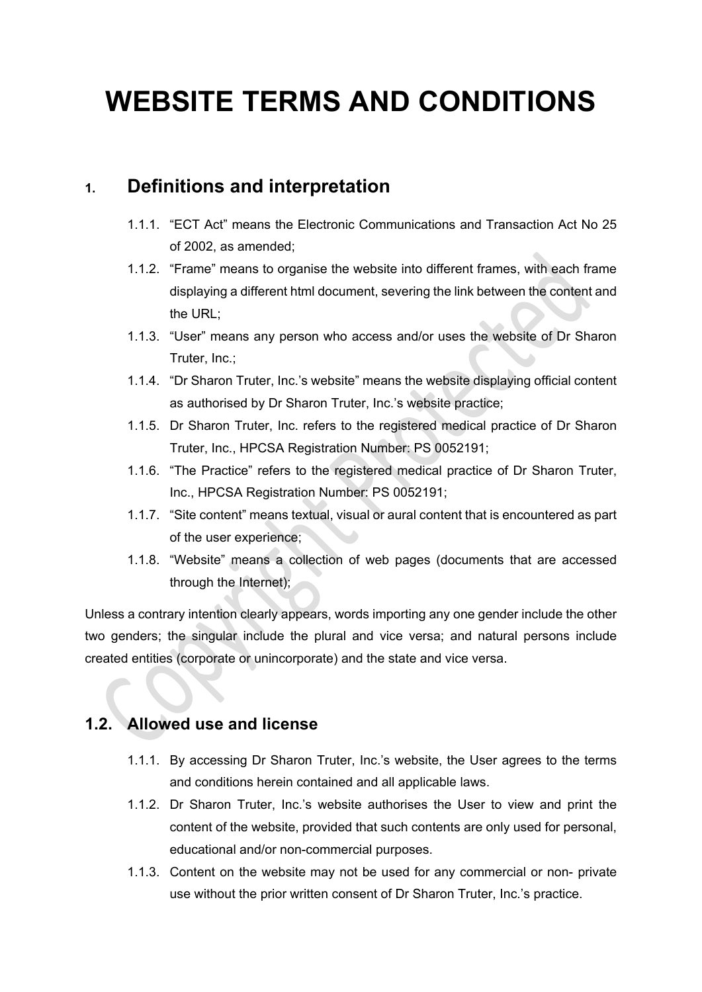# **WEBSITE TERMS AND CONDITIONS**

# **1. Definitions and interpretation**

- 1.1.1. "ECT Act" means the Electronic Communications and Transaction Act No 25 of 2002, as amended;
- 1.1.2. "Frame" means to organise the website into different frames, with each frame displaying a different html document, severing the link between the content and the URL;
- 1.1.3. "User" means any person who access and/or uses the website of Dr Sharon Truter, Inc.;
- 1.1.4. "Dr Sharon Truter, Inc.'s website" means the website displaying official content as authorised by Dr Sharon Truter, Inc.'s website practice;
- 1.1.5. Dr Sharon Truter, Inc. refers to the registered medical practice of Dr Sharon Truter, Inc., HPCSA Registration Number: PS 0052191;
- 1.1.6. "The Practice" refers to the registered medical practice of Dr Sharon Truter, Inc., HPCSA Registration Number: PS 0052191;
- 1.1.7. "Site content" means textual, visual or aural content that is encountered as part of the user experience;
- 1.1.8. "Website" means a collection of web pages (documents that are accessed through the Internet);

Unless a contrary intention clearly appears, words importing any one gender include the other two genders; the singular include the plural and vice versa; and natural persons include created entities (corporate or unincorporate) and the state and vice versa.

# **1.2. Allowed use and license**

- 1.1.1. By accessing Dr Sharon Truter, Inc.'s website, the User agrees to the terms and conditions herein contained and all applicable laws.
- 1.1.2. Dr Sharon Truter, Inc.'s website authorises the User to view and print the content of the website, provided that such contents are only used for personal, educational and/or non-commercial purposes.
- 1.1.3. Content on the website may not be used for any commercial or non- private use without the prior written consent of Dr Sharon Truter, Inc.'s practice.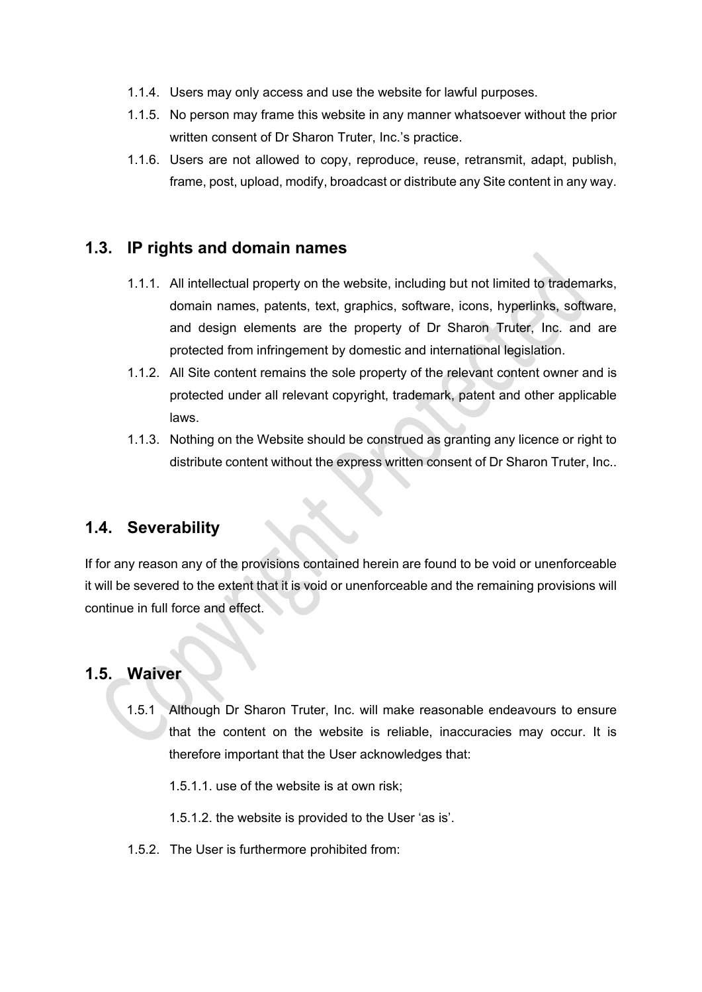- 1.1.4. Users may only access and use the website for lawful purposes.
- 1.1.5. No person may frame this website in any manner whatsoever without the prior written consent of Dr Sharon Truter, Inc.'s practice.
- 1.1.6. Users are not allowed to copy, reproduce, reuse, retransmit, adapt, publish, frame, post, upload, modify, broadcast or distribute any Site content in any way.

# **1.3. IP rights and domain names**

- 1.1.1. All intellectual property on the website, including but not limited to trademarks, domain names, patents, text, graphics, software, icons, hyperlinks, software, and design elements are the property of Dr Sharon Truter, Inc. and are protected from infringement by domestic and international legislation.
- 1.1.2. All Site content remains the sole property of the relevant content owner and is protected under all relevant copyright, trademark, patent and other applicable laws.
- 1.1.3. Nothing on the Website should be construed as granting any licence or right to distribute content without the express written consent of Dr Sharon Truter, Inc..

#### **1.4. Severability**

If for any reason any of the provisions contained herein are found to be void or unenforceable it will be severed to the extent that it is void or unenforceable and the remaining provisions will continue in full force and effect.

#### **1.5. Waiver**

1.5.1 Although Dr Sharon Truter, Inc. will make reasonable endeavours to ensure that the content on the website is reliable, inaccuracies may occur. It is therefore important that the User acknowledges that:

1.5.1.1. use of the website is at own risk;

1.5.1.2. the website is provided to the User 'as is'.

1.5.2. The User is furthermore prohibited from: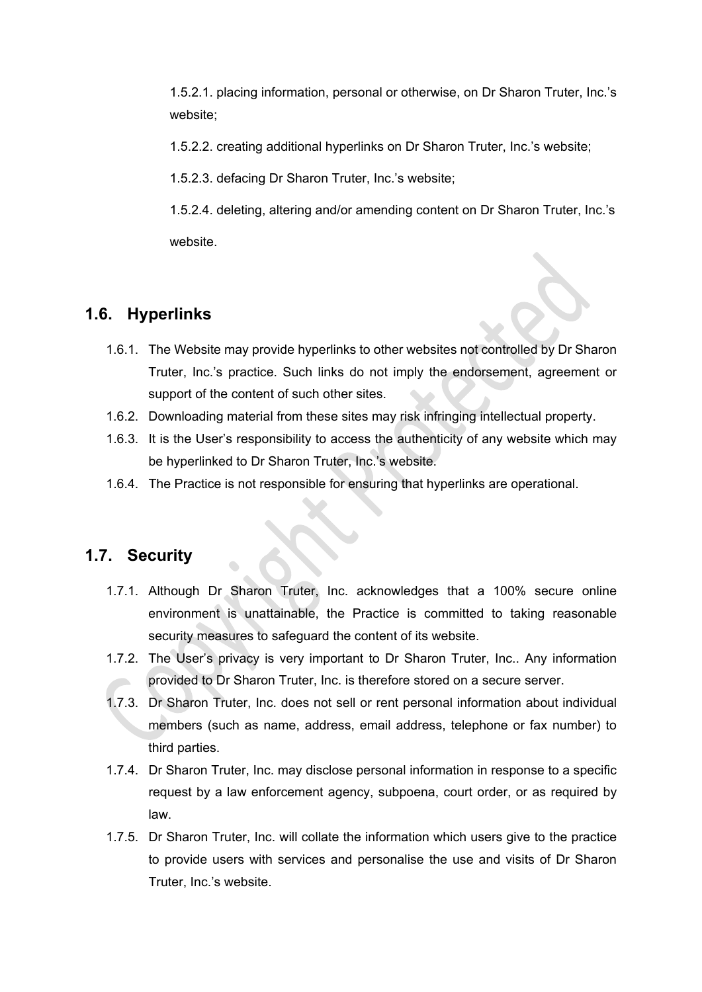1.5.2.1. placing information, personal or otherwise, on Dr Sharon Truter, Inc.'s website;

1.5.2.2. creating additional hyperlinks on Dr Sharon Truter, Inc.'s website;

1.5.2.3. defacing Dr Sharon Truter, Inc.'s website;

1.5.2.4. deleting, altering and/or amending content on Dr Sharon Truter, Inc.'s website.

#### **1.6. Hyperlinks**

- 1.6.1. The Website may provide hyperlinks to other websites not controlled by Dr Sharon Truter, Inc.'s practice. Such links do not imply the endorsement, agreement or support of the content of such other sites.
- 1.6.2. Downloading material from these sites may risk infringing intellectual property.
- 1.6.3. It is the User's responsibility to access the authenticity of any website which may be hyperlinked to Dr Sharon Truter, Inc.'s website.
- 1.6.4. The Practice is not responsible for ensuring that hyperlinks are operational.

#### **1.7. Security**

- 1.7.1. Although Dr Sharon Truter, Inc. acknowledges that a 100% secure online environment is unattainable, the Practice is committed to taking reasonable security measures to safeguard the content of its website.
- 1.7.2. The User's privacy is very important to Dr Sharon Truter, Inc.. Any information provided to Dr Sharon Truter, Inc. is therefore stored on a secure server.
- 1.7.3. Dr Sharon Truter, Inc. does not sell or rent personal information about individual members (such as name, address, email address, telephone or fax number) to third parties.
- 1.7.4. Dr Sharon Truter, Inc. may disclose personal information in response to a specific request by a law enforcement agency, subpoena, court order, or as required by law.
- 1.7.5. Dr Sharon Truter, Inc. will collate the information which users give to the practice to provide users with services and personalise the use and visits of Dr Sharon Truter, Inc.'s website.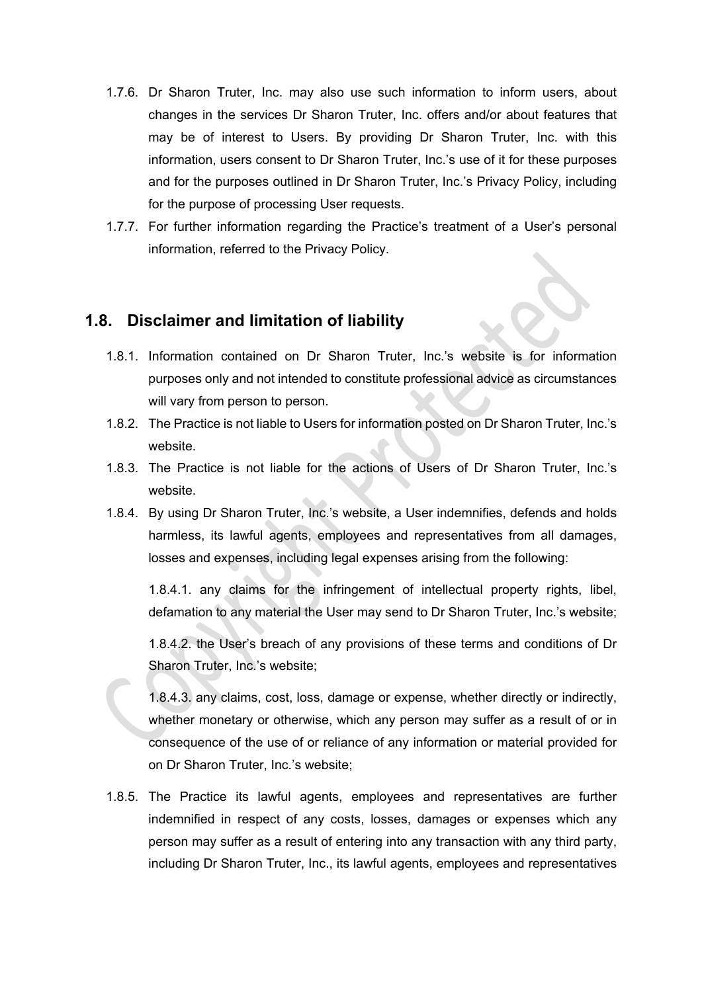- 1.7.6. Dr Sharon Truter, Inc. may also use such information to inform users, about changes in the services Dr Sharon Truter, Inc. offers and/or about features that may be of interest to Users. By providing Dr Sharon Truter, Inc. with this information, users consent to Dr Sharon Truter, Inc.'s use of it for these purposes and for the purposes outlined in Dr Sharon Truter, Inc.'s Privacy Policy, including for the purpose of processing User requests.
- 1.7.7. For further information regarding the Practice's treatment of a User's personal information, referred to the Privacy Policy.

#### **1.8. Disclaimer and limitation of liability**

- 1.8.1. Information contained on Dr Sharon Truter, Inc.'s website is for information purposes only and not intended to constitute professional advice as circumstances will vary from person to person.
- 1.8.2. The Practice is not liable to Users for information posted on Dr Sharon Truter, Inc.'s website.
- 1.8.3. The Practice is not liable for the actions of Users of Dr Sharon Truter, Inc.'s website.
- 1.8.4. By using Dr Sharon Truter, Inc.'s website, a User indemnifies, defends and holds harmless, its lawful agents, employees and representatives from all damages, losses and expenses, including legal expenses arising from the following:

1.8.4.1. any claims for the infringement of intellectual property rights, libel, defamation to any material the User may send to Dr Sharon Truter, Inc.'s website;

1.8.4.2. the User's breach of any provisions of these terms and conditions of Dr Sharon Truter, Inc.'s website;

1.8.4.3. any claims, cost, loss, damage or expense, whether directly or indirectly, whether monetary or otherwise, which any person may suffer as a result of or in consequence of the use of or reliance of any information or material provided for on Dr Sharon Truter, Inc.'s website;

1.8.5. The Practice its lawful agents, employees and representatives are further indemnified in respect of any costs, losses, damages or expenses which any person may suffer as a result of entering into any transaction with any third party, including Dr Sharon Truter, Inc., its lawful agents, employees and representatives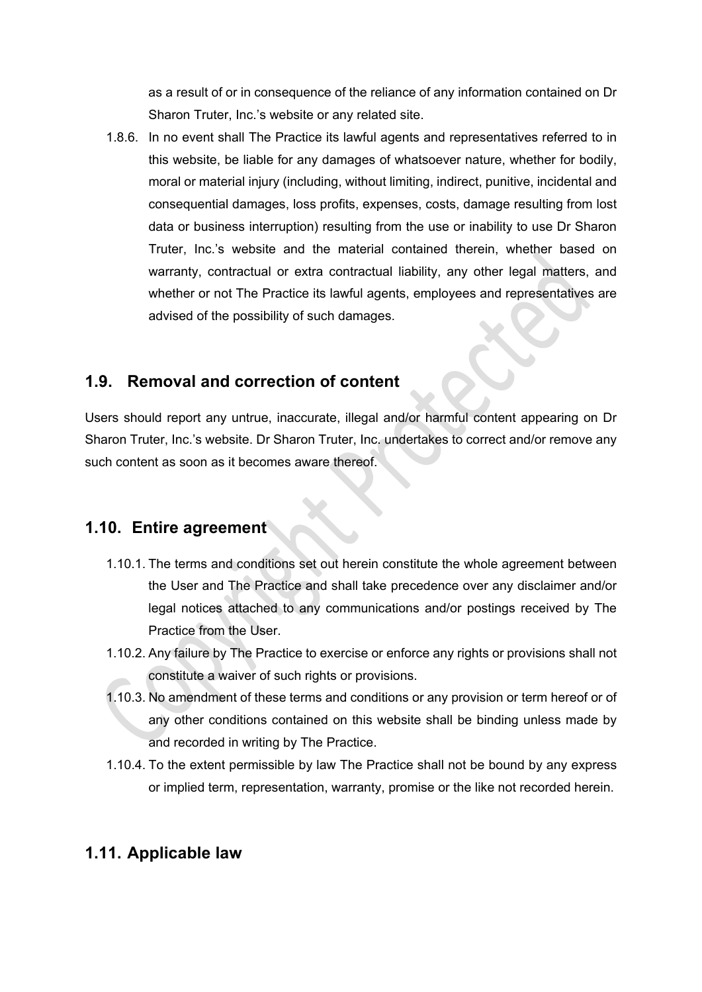as a result of or in consequence of the reliance of any information contained on Dr Sharon Truter, Inc.'s website or any related site.

1.8.6. In no event shall The Practice its lawful agents and representatives referred to in this website, be liable for any damages of whatsoever nature, whether for bodily, moral or material injury (including, without limiting, indirect, punitive, incidental and consequential damages, loss profits, expenses, costs, damage resulting from lost data or business interruption) resulting from the use or inability to use Dr Sharon Truter, Inc.'s website and the material contained therein, whether based on warranty, contractual or extra contractual liability, any other legal matters, and whether or not The Practice its lawful agents, employees and representatives are advised of the possibility of such damages.

## **1.9. Removal and correction of content**

Users should report any untrue, inaccurate, illegal and/or harmful content appearing on Dr Sharon Truter, Inc.'s website. Dr Sharon Truter, Inc. undertakes to correct and/or remove any such content as soon as it becomes aware thereof.

# **1.10. Entire agreement**

- 1.10.1. The terms and conditions set out herein constitute the whole agreement between the User and The Practice and shall take precedence over any disclaimer and/or legal notices attached to any communications and/or postings received by The Practice from the User.
- 1.10.2. Any failure by The Practice to exercise or enforce any rights or provisions shall not constitute a waiver of such rights or provisions.
- 1.10.3. No amendment of these terms and conditions or any provision or term hereof or of any other conditions contained on this website shall be binding unless made by and recorded in writing by The Practice.
- 1.10.4. To the extent permissible by law The Practice shall not be bound by any express or implied term, representation, warranty, promise or the like not recorded herein.

# **1.11. Applicable law**